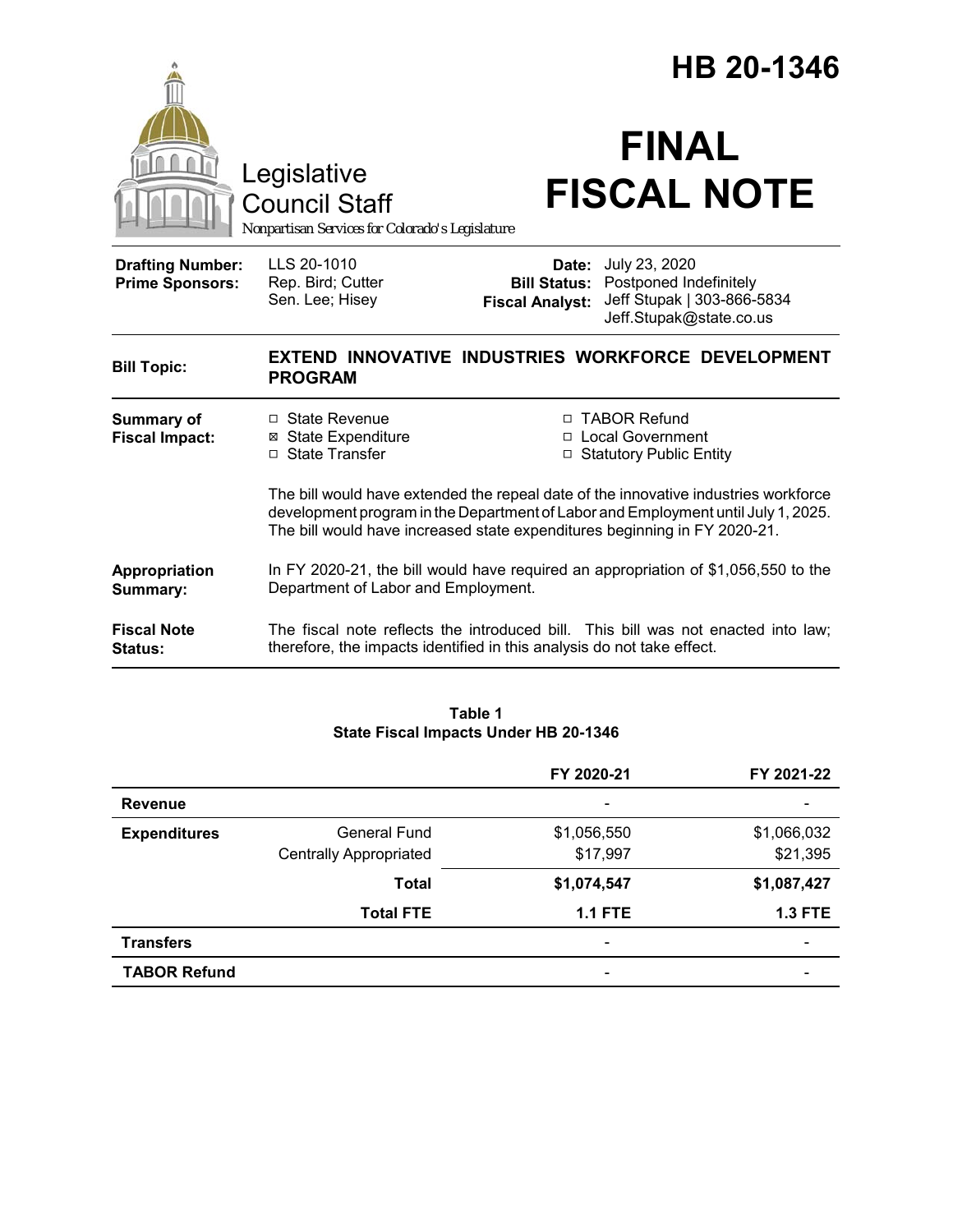|                                                   |                                                                                 | HB 20-1346                                                                                                                                                                                                                                           |  |  |
|---------------------------------------------------|---------------------------------------------------------------------------------|------------------------------------------------------------------------------------------------------------------------------------------------------------------------------------------------------------------------------------------------------|--|--|
|                                                   | Legislative<br>Council Staff<br>Nonpartisan Services for Colorado's Legislature | <b>FINAL</b><br><b>FISCAL NOTE</b>                                                                                                                                                                                                                   |  |  |
| <b>Drafting Number:</b><br><b>Prime Sponsors:</b> | LLS 20-1010<br>Rep. Bird; Cutter<br>Sen. Lee; Hisey                             | Date: July 23, 2020<br><b>Bill Status:</b> Postponed Indefinitely<br>Jeff Stupak   303-866-5834<br><b>Fiscal Analyst:</b><br>Jeff.Stupak@state.co.us                                                                                                 |  |  |
| <b>Bill Topic:</b>                                | EXTEND INNOVATIVE INDUSTRIES WORKFORCE DEVELOPMENT<br><b>PROGRAM</b>            |                                                                                                                                                                                                                                                      |  |  |
| <b>Summary of</b><br><b>Fiscal Impact:</b>        | □ State Revenue<br><b>⊠</b> State Expenditure<br>□ State Transfer               | □ TABOR Refund<br>□ Local Government<br>□ Statutory Public Entity<br>The bill would have extended the repeal date of the innovative industries workforce                                                                                             |  |  |
| Appropriation<br>Summary:                         | Department of Labor and Employment.                                             | development program in the Department of Labor and Employment until July 1, 2025.<br>The bill would have increased state expenditures beginning in FY 2020-21.<br>In FY 2020-21, the bill would have required an appropriation of \$1,056,550 to the |  |  |
| <b>Fiscal Note</b><br><b>Status:</b>              |                                                                                 | The fiscal note reflects the introduced bill. This bill was not enacted into law;<br>therefore, the impacts identified in this analysis do not take effect.                                                                                          |  |  |
|                                                   |                                                                                 |                                                                                                                                                                                                                                                      |  |  |

## **Table 1 State Fiscal Impacts Under HB 20-1346**

|                     |                               | FY 2020-21               | FY 2021-22               |
|---------------------|-------------------------------|--------------------------|--------------------------|
| <b>Revenue</b>      |                               | $\overline{\phantom{a}}$ |                          |
| <b>Expenditures</b> | General Fund                  | \$1,056,550              | \$1,066,032              |
|                     | <b>Centrally Appropriated</b> | \$17,997                 | \$21,395                 |
|                     | <b>Total</b>                  | \$1,074,547              | \$1,087,427              |
|                     | <b>Total FTE</b>              | <b>1.1 FTE</b>           | <b>1.3 FTE</b>           |
| <b>Transfers</b>    |                               | ٠                        | $\overline{\phantom{0}}$ |
| <b>TABOR Refund</b> |                               |                          |                          |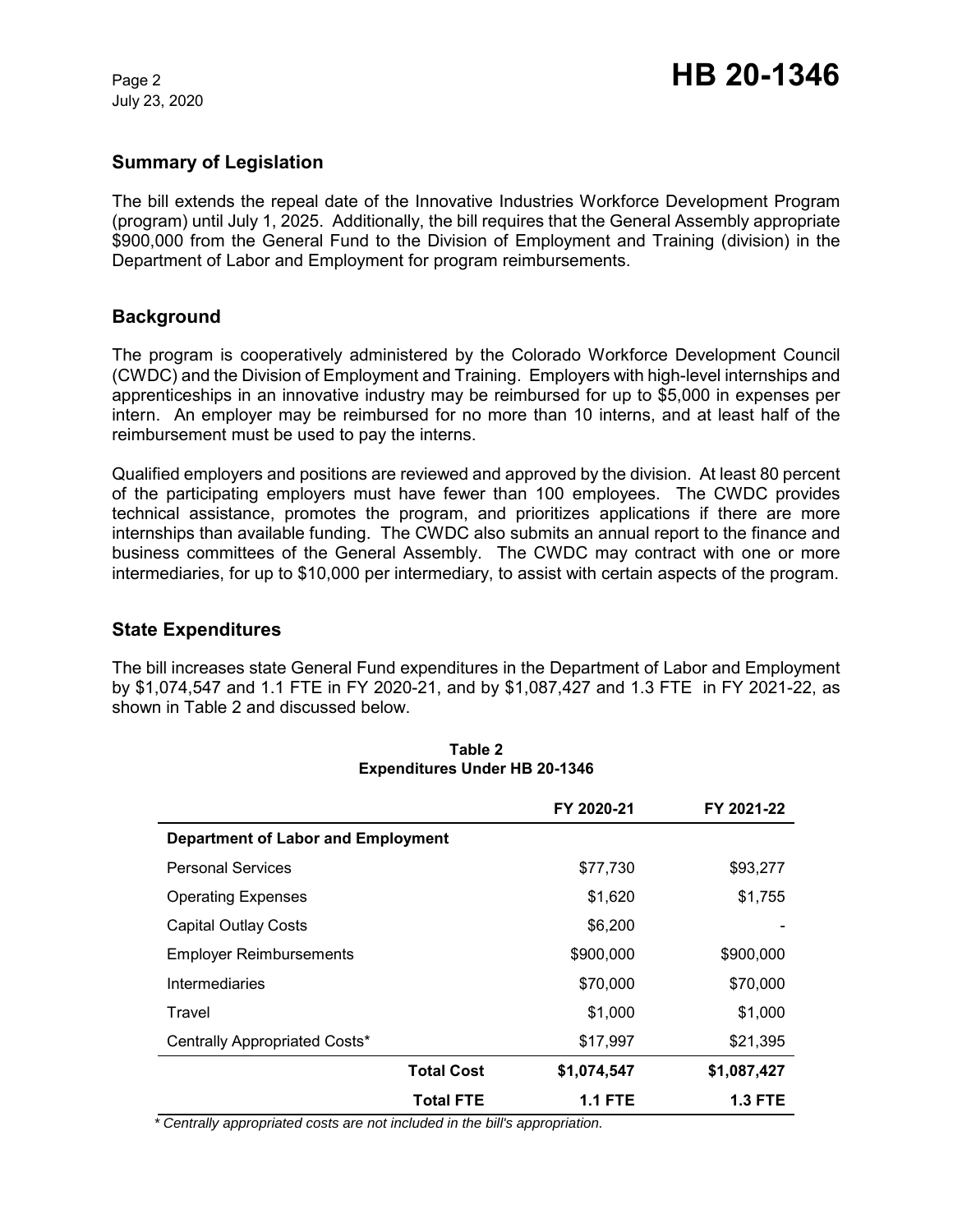July 23, 2020

# **Summary of Legislation**

The bill extends the repeal date of the Innovative Industries Workforce Development Program (program) until July 1, 2025. Additionally, the bill requires that the General Assembly appropriate \$900,000 from the General Fund to the Division of Employment and Training (division) in the Department of Labor and Employment for program reimbursements.

# **Background**

The program is cooperatively administered by the Colorado Workforce Development Council (CWDC) and the Division of Employment and Training. Employers with high-level internships and apprenticeships in an innovative industry may be reimbursed for up to \$5,000 in expenses per intern. An employer may be reimbursed for no more than 10 interns, and at least half of the reimbursement must be used to pay the interns.

Qualified employers and positions are reviewed and approved by the division. At least 80 percent of the participating employers must have fewer than 100 employees. The CWDC provides technical assistance, promotes the program, and prioritizes applications if there are more internships than available funding. The CWDC also submits an annual report to the finance and business committees of the General Assembly. The CWDC may contract with one or more intermediaries, for up to \$10,000 per intermediary, to assist with certain aspects of the program.

## **State Expenditures**

The bill increases state General Fund expenditures in the Department of Labor and Employment by \$1,074,547 and 1.1 FTE in FY 2020-21, and by \$1,087,427 and 1.3 FTE in FY 2021-22, as shown in Table 2 and discussed below.

|                                           | FY 2020-21     | FY 2021-22     |
|-------------------------------------------|----------------|----------------|
| <b>Department of Labor and Employment</b> |                |                |
| <b>Personal Services</b>                  | \$77,730       | \$93,277       |
| <b>Operating Expenses</b>                 | \$1,620        | \$1,755        |
| <b>Capital Outlay Costs</b>               | \$6,200        |                |
| <b>Employer Reimbursements</b>            | \$900,000      | \$900,000      |
| Intermediaries                            | \$70,000       | \$70,000       |
| Travel                                    | \$1,000        | \$1,000        |
| Centrally Appropriated Costs*             | \$17,997       | \$21,395       |
| <b>Total Cost</b>                         | \$1,074,547    | \$1,087,427    |
| <b>Total FTE</b>                          | <b>1.1 FTE</b> | <b>1.3 FTE</b> |

#### **Table 2 Expenditures Under HB 20-1346**

 *\* Centrally appropriated costs are not included in the bill's appropriation.*